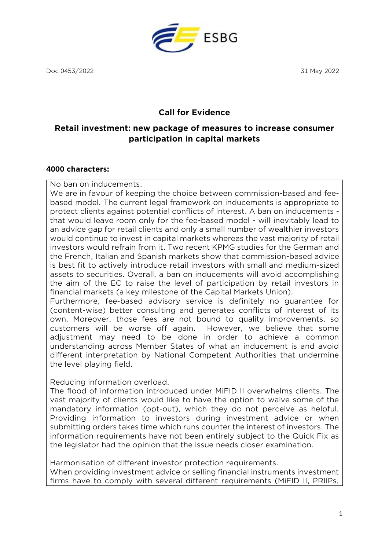**ESBG** 

Doc 0453/2022 31 May 2022

# **Call for Evidence**

# **Retail investment: new package of measures to increase consumer participation in capital markets**

#### **4000 characters:**

No ban on inducements.

We are in favour of keeping the choice between commission-based and feebased model. The current legal framework on inducements is appropriate to protect clients against potential conflicts of interest. A ban on inducements that would leave room only for the fee-based model - will inevitably lead to an advice gap for retail clients and only a small number of wealthier investors would continue to invest in capital markets whereas the vast majority of retail investors would refrain from it. Two recent KPMG studies for the German and the French, Italian and Spanish markets show that commission-based advice is best fit to actively introduce retail investors with small and medium-sized assets to securities. Overall, a ban on inducements will avoid accomplishing the aim of the EC to raise the level of participation by retail investors in financial markets (a key milestone of the Capital Markets Union).

Furthermore, fee-based advisory service is definitely no guarantee for (content-wise) better consulting and generates conflicts of interest of its own. Moreover, those fees are not bound to quality improvements, so customers will be worse off again. However, we believe that some adjustment may need to be done in order to achieve a common understanding across Member States of what an inducement is and avoid different interpretation by National Competent Authorities that undermine the level playing field.

Reducing information overload.

The flood of information introduced under MiFID II overwhelms clients. The vast majority of clients would like to have the option to waive some of the mandatory information (opt-out), which they do not perceive as helpful. Providing information to investors during investment advice or when submitting orders takes time which runs counter the interest of investors. The information requirements have not been entirely subject to the Quick Fix as the legislator had the opinion that the issue needs closer examination.

Harmonisation of different investor protection requirements. When providing investment advice or selling financial instruments investment firms have to comply with several different requirements (MiFID II, PRIIPs,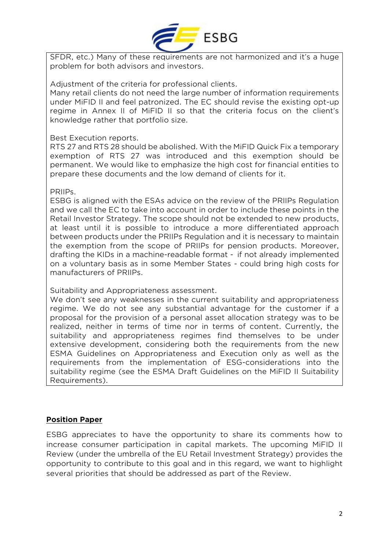

SFDR, etc.) Many of these requirements are not harmonized and it's a huge problem for both advisors and investors.

Adjustment of the criteria for professional clients.

Many retail clients do not need the large number of information requirements under MiFID II and feel patronized. The EC should revise the existing opt-up regime in Annex II of MiFID II so that the criteria focus on the client's knowledge rather that portfolio size.

#### Best Execution reports.

RTS 27 and RTS 28 should be abolished. With the MiFID Quick Fix a temporary exemption of RTS 27 was introduced and this exemption should be permanent. We would like to emphasize the high cost for financial entities to prepare these documents and the low demand of clients for it.

#### PRIIPs.

ESBG is aligned with the ESAs advice on the review of the PRIIPs Regulation and we call the EC to take into account in order to include these points in the Retail Investor Strategy. The scope should not be extended to new products, at least until it is possible to introduce a more differentiated approach between products under the PRIIPs Regulation and it is necessary to maintain the exemption from the scope of PRIIPs for pension products. Moreover, drafting the KIDs in a machine-readable format - if not already implemented on a voluntary basis as in some Member States - could bring high costs for manufacturers of PRIIPs.

Suitability and Appropriateness assessment.

We don't see any weaknesses in the current suitability and appropriateness regime. We do not see any substantial advantage for the customer if a proposal for the provision of a personal asset allocation strategy was to be realized, neither in terms of time nor in terms of content. Currently, the suitability and appropriateness regimes find themselves to be under extensive development, considering both the requirements from the new ESMA Guidelines on Appropriateness and Execution only as well as the requirements from the implementation of ESG-considerations into the suitability regime (see the ESMA Draft Guidelines on the MiFID II Suitability Requirements).

#### **Position Paper**

ESBG appreciates to have the opportunity to share its comments how to increase consumer participation in capital markets. The upcoming MiFID II Review (under the umbrella of the EU Retail Investment Strategy) provides the opportunity to contribute to this goal and in this regard, we want to highlight several priorities that should be addressed as part of the Review.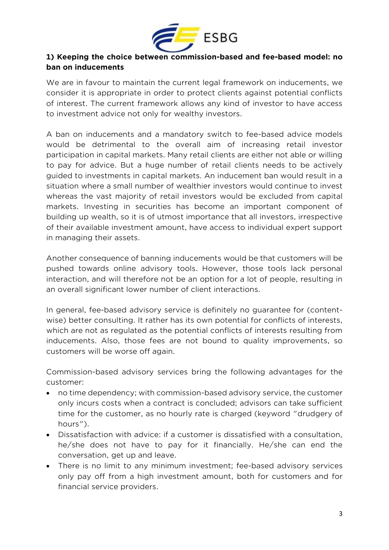

## **1) Keeping the choice between commission-based and fee-based model: no ban on inducements**

We are in favour to maintain the current legal framework on inducements, we consider it is appropriate in order to protect clients against potential conflicts of interest. The current framework allows any kind of investor to have access to investment advice not only for wealthy investors.

A ban on inducements and a mandatory switch to fee-based advice models would be detrimental to the overall aim of increasing retail investor participation in capital markets. Many retail clients are either not able or willing to pay for advice. But a huge number of retail clients needs to be actively guided to investments in capital markets. An inducement ban would result in a situation where a small number of wealthier investors would continue to invest whereas the vast majority of retail investors would be excluded from capital markets. Investing in securities has become an important component of building up wealth, so it is of utmost importance that all investors, irrespective of their available investment amount, have access to individual expert support in managing their assets.

Another consequence of banning inducements would be that customers will be pushed towards online advisory tools. However, those tools lack personal interaction, and will therefore not be an option for a lot of people, resulting in an overall significant lower number of client interactions.

In general, fee-based advisory service is definitely no guarantee for (contentwise) better consulting. It rather has its own potential for conflicts of interests, which are not as regulated as the potential conflicts of interests resulting from inducements. Also, those fees are not bound to quality improvements, so customers will be worse off again.

Commission-based advisory services bring the following advantages for the customer:

- no time dependency; with commission-based advisory service, the customer only incurs costs when a contract is concluded; advisors can take sufficient time for the customer, as no hourly rate is charged (keyword "drudgery of hours").
- Dissatisfaction with advice: if a customer is dissatisfied with a consultation, he/she does not have to pay for it financially. He/she can end the conversation, get up and leave.
- There is no limit to any minimum investment; fee-based advisory services only pay off from a high investment amount, both for customers and for financial service providers.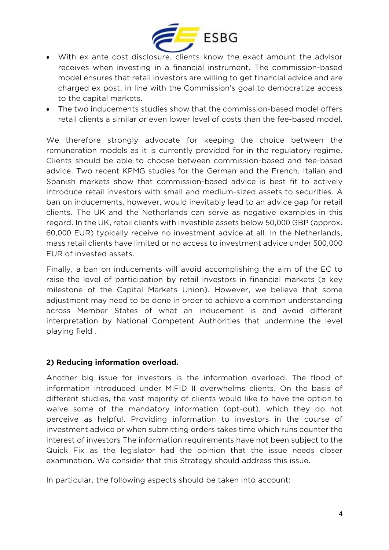

- With ex ante cost disclosure, clients know the exact amount the advisor receives when investing in a financial instrument. The commission-based model ensures that retail investors are willing to get financial advice and are charged ex post, in line with the Commission's goal to democratize access to the capital markets.
- The two inducements studies show that the commission-based model offers retail clients a similar or even lower level of costs than the fee-based model.

We therefore strongly advocate for keeping the choice between the remuneration models as it is currently provided for in the regulatory regime. Clients should be able to choose between commission-based and fee-based advice. Two recent KPMG studies for the German and the French, Italian and Spanish markets show that commission-based advice is best fit to actively introduce retail investors with small and medium-sized assets to securities. A ban on inducements, however, would inevitably lead to an advice gap for retail clients. The UK and the Netherlands can serve as negative examples in this regard. In the UK, retail clients with investible assets below 50,000 GBP (approx. 60,000 EUR) typically receive no investment advice at all. In the Netherlands, mass retail clients have limited or no access to investment advice under 500,000 EUR of invested assets.

Finally, a ban on inducements will avoid accomplishing the aim of the EC to raise the level of participation by retail investors in financial markets (a key milestone of the Capital Markets Union). However, we believe that some adjustment may need to be done in order to achieve a common understanding across Member States of what an inducement is and avoid different interpretation by National Competent Authorities that undermine the level playing field .

## **2) Reducing information overload.**

Another big issue for investors is the information overload. The flood of information introduced under MiFID II overwhelms clients. On the basis of different studies, the vast majority of clients would like to have the option to waive some of the mandatory information (opt-out), which they do not perceive as helpful. Providing information to investors in the course of investment advice or when submitting orders takes time which runs counter the interest of investors The information requirements have not been subject to the Quick Fix as the legislator had the opinion that the issue needs closer examination. We consider that this Strategy should address this issue.

In particular, the following aspects should be taken into account: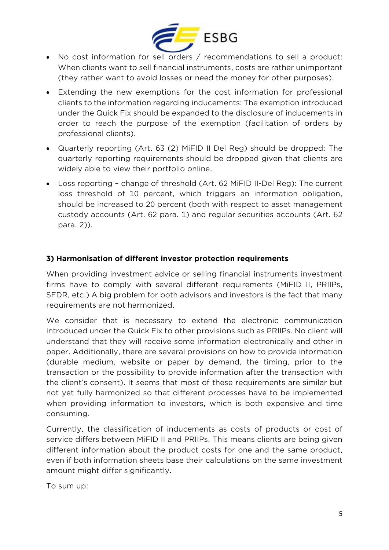

- No cost information for sell orders / recommendations to sell a product: When clients want to sell financial instruments, costs are rather unimportant (they rather want to avoid losses or need the money for other purposes).
- Extending the new exemptions for the cost information for professional clients to the information regarding inducements: The exemption introduced under the Quick Fix should be expanded to the disclosure of inducements in order to reach the purpose of the exemption (facilitation of orders by professional clients).
- Quarterly reporting (Art. 63 (2) MiFID II Del Reg) should be dropped: The quarterly reporting requirements should be dropped given that clients are widely able to view their portfolio online.
- Loss reporting change of threshold (Art. 62 MiFID II-Del Reg): The current loss threshold of 10 percent, which triggers an information obligation, should be increased to 20 percent (both with respect to asset management custody accounts (Art. 62 para. 1) and regular securities accounts (Art. 62 para. 2)).

## **3) Harmonisation of different investor protection requirements**

When providing investment advice or selling financial instruments investment firms have to comply with several different requirements (MiFID II, PRIIPs, SFDR, etc.) A big problem for both advisors and investors is the fact that many requirements are not harmonized.

We consider that is necessary to extend the electronic communication introduced under the Quick Fix to other provisions such as PRIIPs. No client will understand that they will receive some information electronically and other in paper. Additionally, there are several provisions on how to provide information (durable medium, website or paper by demand, the timing, prior to the transaction or the possibility to provide information after the transaction with the client's consent). It seems that most of these requirements are similar but not yet fully harmonized so that different processes have to be implemented when providing information to investors, which is both expensive and time consuming.

Currently, the classification of inducements as costs of products or cost of service differs between MiFID II and PRIIPs. This means clients are being given different information about the product costs for one and the same product, even if both information sheets base their calculations on the same investment amount might differ significantly.

To sum up: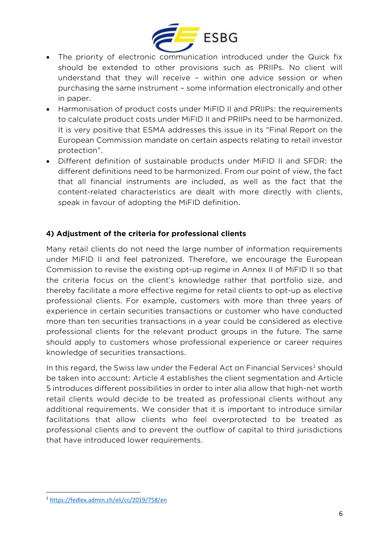

- The priority of electronic communication introduced under the Quick fix should be extended to other provisions such as PRIIPs. No client will understand that they will receive – within one advice session or when purchasing the same instrument – some information electronically and other in paper.
- Harmonisation of product costs under MiFID II and PRIIPs: the requirements to calculate product costs under MiFID II and PRIIPs need to be harmonized. It is very positive that ESMA addresses this issue in its "Final Report on the European Commission mandate on certain aspects relating to retail investor protection".
- Different definition of sustainable products under MiFID II and SFDR: the different definitions need to be harmonized. From our point of view, the fact that all financial instruments are included, as well as the fact that the content-related characteristics are dealt with more directly with clients, speak in favour of adopting the MiFID definition.

## **4) Adjustment of the criteria for professional clients**

Many retail clients do not need the large number of information requirements under MiFID II and feel patronized. Therefore, we encourage the European Commission to revise the existing opt-up regime in Annex II of MiFID II so that the criteria focus on the client's knowledge rather that portfolio size, and thereby facilitate a more effective regime for retail clients to opt-up as elective professional clients. For example, customers with more than three years of experience in certain securities transactions or customer who have conducted more than ten securities transactions in a year could be considered as elective professional clients for the relevant product groups in the future. The same should apply to customers whose professional experience or career requires knowledge of securities transactions.

In this regard, the Swiss law under the Federal Act on Financial Services<sup>1</sup> should be taken into account: Article 4 establishes the client segmentation and Article 5 introduces different possibilities in order to inter alia allow that high-net worth retail clients would decide to be treated as professional clients without any additional requirements. We consider that it is important to introduce similar facilitations that allow clients who feel overprotected to be treated as professional clients and to prevent the outflow of capital to third jurisdictions that have introduced lower requirements.

<sup>1</sup> <https://fedlex.admin.ch/eli/cc/2019/758/en>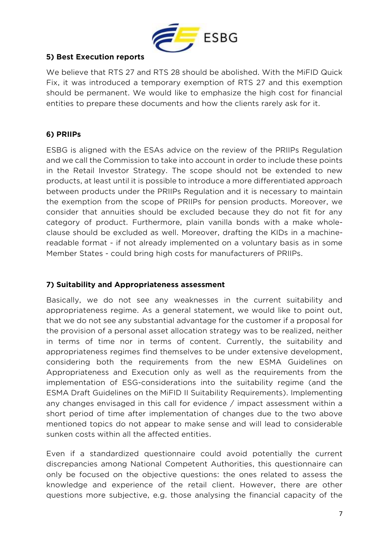

## **5) Best Execution reports**

We believe that RTS 27 and RTS 28 should be abolished. With the MiFID Quick Fix, it was introduced a temporary exemption of RTS 27 and this exemption should be permanent. We would like to emphasize the high cost for financial entities to prepare these documents and how the clients rarely ask for it.

## **6) PRIIPs**

ESBG is aligned with the ESAs advice on the review of the PRIIPs Regulation and we call the Commission to take into account in order to include these points in the Retail Investor Strategy. The scope should not be extended to new products, at least until it is possible to introduce a more differentiated approach between products under the PRIIPs Regulation and it is necessary to maintain the exemption from the scope of PRIIPs for pension products. Moreover, we consider that annuities should be excluded because they do not fit for any category of product. Furthermore, plain vanilla bonds with a make wholeclause should be excluded as well. Moreover, drafting the KIDs in a machinereadable format - if not already implemented on a voluntary basis as in some Member States - could bring high costs for manufacturers of PRIIPs.

## **7) Suitability and Appropriateness assessment**

Basically, we do not see any weaknesses in the current suitability and appropriateness regime. As a general statement, we would like to point out, that we do not see any substantial advantage for the customer if a proposal for the provision of a personal asset allocation strategy was to be realized, neither in terms of time nor in terms of content. Currently, the suitability and appropriateness regimes find themselves to be under extensive development, considering both the requirements from the new ESMA Guidelines on Appropriateness and Execution only as well as the requirements from the implementation of ESG-considerations into the suitability regime (and the ESMA Draft Guidelines on the MiFID II Suitability Requirements). Implementing any changes envisaged in this call for evidence / impact assessment within a short period of time after implementation of changes due to the two above mentioned topics do not appear to make sense and will lead to considerable sunken costs within all the affected entities.

Even if a standardized questionnaire could avoid potentially the current discrepancies among National Competent Authorities, this questionnaire can only be focused on the objective questions: the ones related to assess the knowledge and experience of the retail client. However, there are other questions more subjective, e.g. those analysing the financial capacity of the